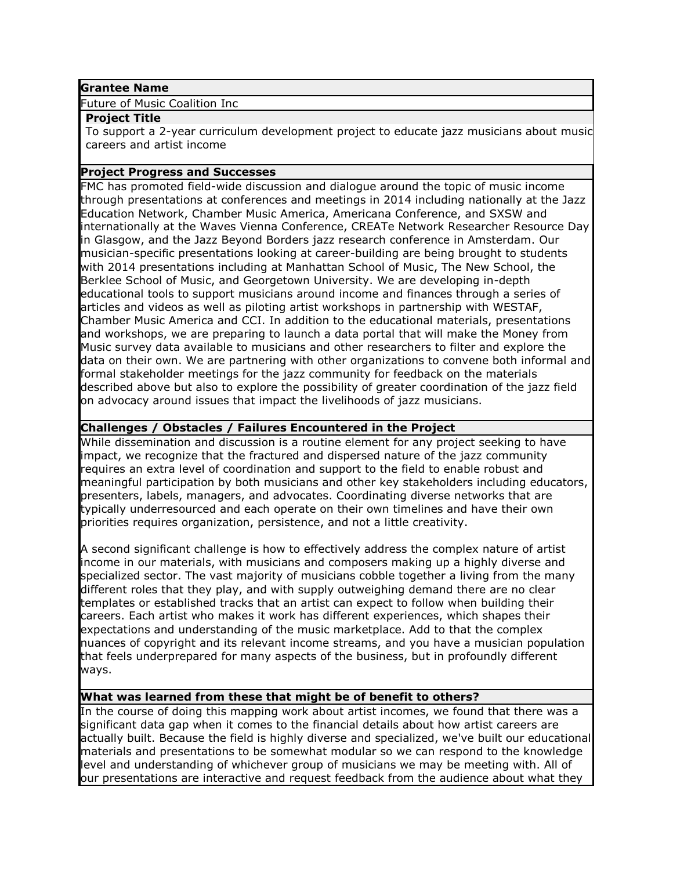#### **Grantee Name**

Future of Music Coalition Inc

#### **Project Title**

To support a 2-year curriculum development project to educate jazz musicians about music careers and artist income

### **Project Progress and Successes**

FMC has promoted field-wide discussion and dialogue around the topic of music income through presentations at conferences and meetings in 2014 including nationally at the Jazz Education Network, Chamber Music America, Americana Conference, and SXSW and internationally at the Waves Vienna Conference, CREATe Network Researcher Resource Day in Glasgow, and the Jazz Beyond Borders jazz research conference in Amsterdam. Our musician-specific presentations looking at career-building are being brought to students with 2014 presentations including at Manhattan School of Music, The New School, the Berklee School of Music, and Georgetown University. We are developing in-depth educational tools to support musicians around income and finances through a series of articles and videos as well as piloting artist workshops in partnership with WESTAF, Chamber Music America and CCI. In addition to the educational materials, presentations and workshops, we are preparing to launch a data portal that will make the Money from Music survey data available to musicians and other researchers to filter and explore the data on their own. We are partnering with other organizations to convene both informal and formal stakeholder meetings for the jazz community for feedback on the materials described above but also to explore the possibility of greater coordination of the jazz field on advocacy around issues that impact the livelihoods of jazz musicians.

### **Challenges / Obstacles / Failures Encountered in the Project**

While dissemination and discussion is a routine element for any project seeking to have impact, we recognize that the fractured and dispersed nature of the jazz community requires an extra level of coordination and support to the field to enable robust and meaningful participation by both musicians and other key stakeholders including educators, presenters, labels, managers, and advocates. Coordinating diverse networks that are typically underresourced and each operate on their own timelines and have their own priorities requires organization, persistence, and not a little creativity.

A second significant challenge is how to effectively address the complex nature of artist income in our materials, with musicians and composers making up a highly diverse and specialized sector. The vast majority of musicians cobble together a living from the many different roles that they play, and with supply outweighing demand there are no clear templates or established tracks that an artist can expect to follow when building their careers. Each artist who makes it work has different experiences, which shapes their expectations and understanding of the music marketplace. Add to that the complex nuances of copyright and its relevant income streams, and you have a musician population that feels underprepared for many aspects of the business, but in profoundly different ways.

## **What was learned from these that might be of benefit to others?**

In the course of doing this mapping work about artist incomes, we found that there was a significant data gap when it comes to the financial details about how artist careers are actually built. Because the field is highly diverse and specialized, we've built our educational materials and presentations to be somewhat modular so we can respond to the knowledge level and understanding of whichever group of musicians we may be meeting with. All of our presentations are interactive and request feedback from the audience about what they